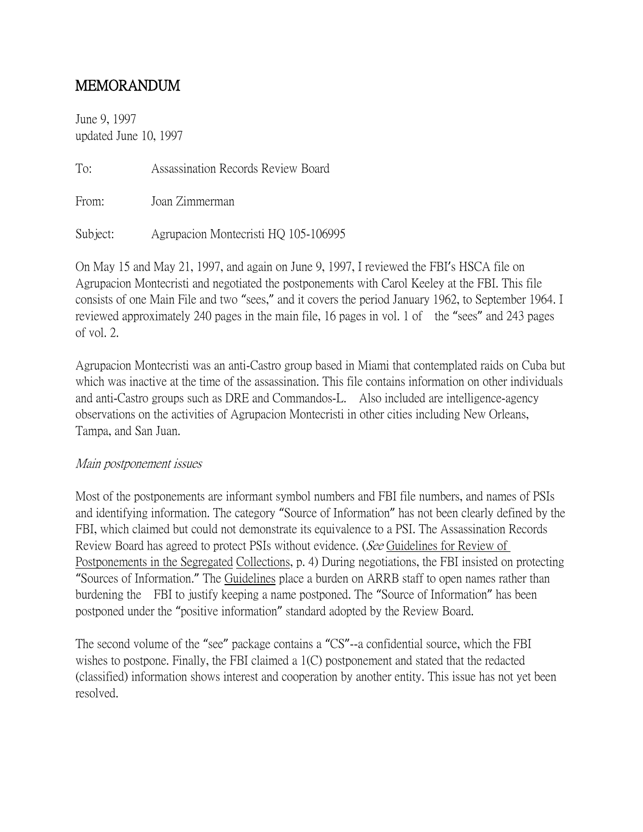## MEMORANDUM

June 9, 1997 updated June 10, 1997

To: Assassination Records Review Board

From: Joan Zimmerman

Subject: Agrupacion Montecristi HQ 105-106995

On May 15 and May 21, 1997, and again on June 9, 1997, I reviewed the FBI's HSCA file on Agrupacion Montecristi and negotiated the postponements with Carol Keeley at the FBI. This file consists of one Main File and two "sees," and it covers the period January 1962, to September 1964. I reviewed approximately 240 pages in the main file, 16 pages in vol. 1 of the "sees" and 243 pages of vol. 2.

Agrupacion Montecristi was an anti-Castro group based in Miami that contemplated raids on Cuba but which was inactive at the time of the assassination. This file contains information on other individuals and anti-Castro groups such as DRE and Commandos-L. Also included are intelligence-agency observations on the activities of Agrupacion Montecristi in other cities including New Orleans, Tampa, and San Juan.

## Main postponement issues

Most of the postponements are informant symbol numbers and FBI file numbers, and names of PSIs and identifying information. The category "Source of Information" has not been clearly defined by the FBI, which claimed but could not demonstrate its equivalence to a PSI. The Assassination Records Review Board has agreed to protect PSIs without evidence. (See Guidelines for Review of Postponements in the Segregated Collections, p. 4) During negotiations, the FBI insisted on protecting "Sources of Information." The Guidelines place a burden on ARRB staff to open names rather than burdening the FBI to justify keeping a name postponed. The "Source of Information" has been postponed under the "positive information" standard adopted by the Review Board.

The second volume of the "see" package contains a "CS"--a confidential source, which the FBI wishes to postpone. Finally, the FBI claimed a 1(C) postponement and stated that the redacted (classified) information shows interest and cooperation by another entity. This issue has not yet been resolved.